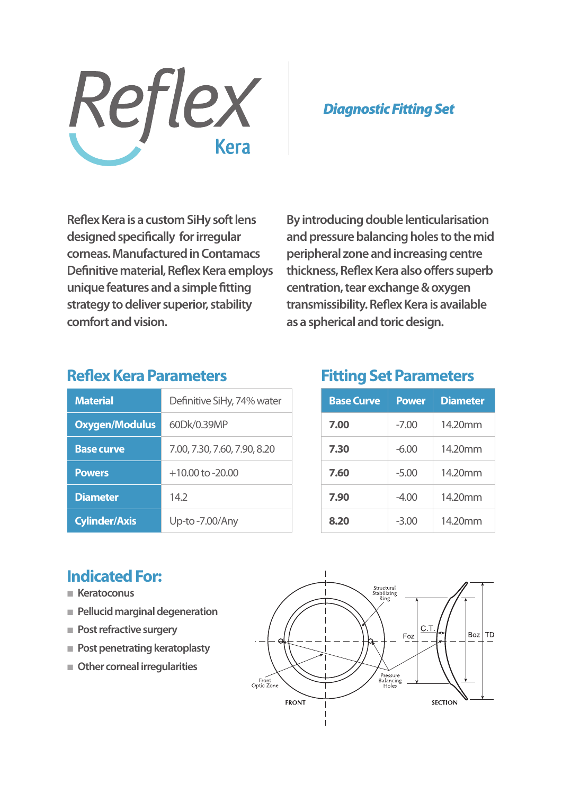

*Diagnostic Fitting Set*

**Reflex Kera is a custom SiHy soft lens designed specifically for irregular corneas. Manufactured in Contamacs Definitive material, Reflex Kera employs unique features and a simple fitting strategy to deliver superior, stability comfort and vision.**

**By introducing double lenticularisation and pressure balancing holes to the mid peripheral zone and increasing centre thickness, Reflex Kera also offers superb centration, tear exchange & oxygen transmissibility. Reflex Kera is available as a spherical and toric design.** 

# **Reflex Kera Parameters**

| <b>Material</b>       | Definitive SiHy, 74% water   |  |
|-----------------------|------------------------------|--|
| <b>Oxygen/Modulus</b> | 60Dk/0.39MP                  |  |
| <b>Base curve</b>     | 7.00, 7.30, 7.60, 7.90, 8.20 |  |
| <b>Powers</b>         | $+10.00$ to $-20.00$         |  |
| <b>Diameter</b>       | 142                          |  |
| <b>Cylinder/Axis</b>  | Up-to-7.00/Any               |  |

# **Fitting Set Parameters**

| <b>Base Curve</b> | <b>Power</b> | <b>Diameter</b> |
|-------------------|--------------|-----------------|
| 7.00              | $-7.00$      | 14.20mm         |
| 7.30              | $-6.00$      | 14.20mm         |
| 7.60              | $-5.00$      | 14.20mm         |
| 7.90              | $-4.00$      | 14.20mm         |
| 8.20              | $-3.00$      | 14.20mm         |

# **Indicated For:**

- **Keratoconus**
- **Pellucid marginal degeneration**
- **Post refractive surgery**
- **Post penetrating keratoplasty**
- **Other corneal irregularities**